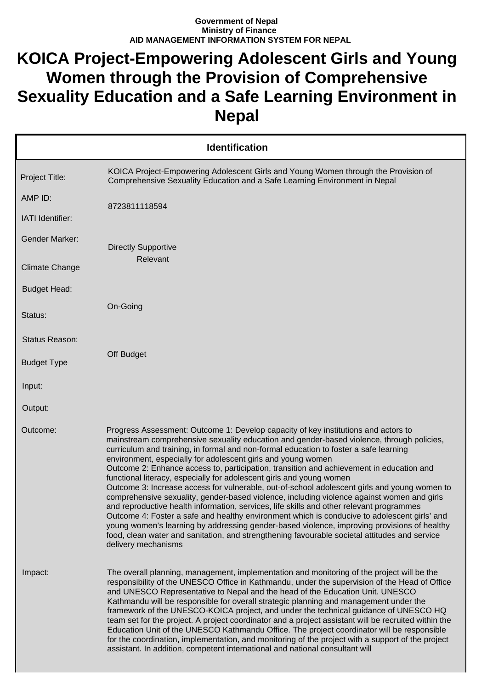## **Government of Nepal Ministry of Finance AID MANAGEMENT INFORMATION SYSTEM FOR NEPAL**

## **KOICA Project-Empowering Adolescent Girls and Young Women through the Provision of Comprehensive Sexuality Education and a Safe Learning Environment in Nepal**

|                       | <b>Identification</b>                                                                                                                                                                                                                                                                                                                                                                                                                                                                                                                                                                                                                                                                                                                                                                                                                                                                                                                                                                                                                                                                                                         |
|-----------------------|-------------------------------------------------------------------------------------------------------------------------------------------------------------------------------------------------------------------------------------------------------------------------------------------------------------------------------------------------------------------------------------------------------------------------------------------------------------------------------------------------------------------------------------------------------------------------------------------------------------------------------------------------------------------------------------------------------------------------------------------------------------------------------------------------------------------------------------------------------------------------------------------------------------------------------------------------------------------------------------------------------------------------------------------------------------------------------------------------------------------------------|
| Project Title:        | KOICA Project-Empowering Adolescent Girls and Young Women through the Provision of<br>Comprehensive Sexuality Education and a Safe Learning Environment in Nepal                                                                                                                                                                                                                                                                                                                                                                                                                                                                                                                                                                                                                                                                                                                                                                                                                                                                                                                                                              |
| AMP ID:               | 8723811118594                                                                                                                                                                                                                                                                                                                                                                                                                                                                                                                                                                                                                                                                                                                                                                                                                                                                                                                                                                                                                                                                                                                 |
| IATI Identifier:      |                                                                                                                                                                                                                                                                                                                                                                                                                                                                                                                                                                                                                                                                                                                                                                                                                                                                                                                                                                                                                                                                                                                               |
| <b>Gender Marker:</b> | <b>Directly Supportive</b>                                                                                                                                                                                                                                                                                                                                                                                                                                                                                                                                                                                                                                                                                                                                                                                                                                                                                                                                                                                                                                                                                                    |
| <b>Climate Change</b> | Relevant                                                                                                                                                                                                                                                                                                                                                                                                                                                                                                                                                                                                                                                                                                                                                                                                                                                                                                                                                                                                                                                                                                                      |
| <b>Budget Head:</b>   |                                                                                                                                                                                                                                                                                                                                                                                                                                                                                                                                                                                                                                                                                                                                                                                                                                                                                                                                                                                                                                                                                                                               |
| Status:               | On-Going                                                                                                                                                                                                                                                                                                                                                                                                                                                                                                                                                                                                                                                                                                                                                                                                                                                                                                                                                                                                                                                                                                                      |
| Status Reason:        |                                                                                                                                                                                                                                                                                                                                                                                                                                                                                                                                                                                                                                                                                                                                                                                                                                                                                                                                                                                                                                                                                                                               |
| <b>Budget Type</b>    | Off Budget                                                                                                                                                                                                                                                                                                                                                                                                                                                                                                                                                                                                                                                                                                                                                                                                                                                                                                                                                                                                                                                                                                                    |
| Input:                |                                                                                                                                                                                                                                                                                                                                                                                                                                                                                                                                                                                                                                                                                                                                                                                                                                                                                                                                                                                                                                                                                                                               |
| Output:               |                                                                                                                                                                                                                                                                                                                                                                                                                                                                                                                                                                                                                                                                                                                                                                                                                                                                                                                                                                                                                                                                                                                               |
| Outcome:              | Progress Assessment: Outcome 1: Develop capacity of key institutions and actors to<br>mainstream comprehensive sexuality education and gender-based violence, through policies,<br>curriculum and training, in formal and non-formal education to foster a safe learning<br>environment, especially for adolescent girls and young women<br>Outcome 2: Enhance access to, participation, transition and achievement in education and<br>functional literacy, especially for adolescent girls and young women<br>Outcome 3: Increase access for vulnerable, out-of-school adolescent girls and young women to<br>comprehensive sexuality, gender-based violence, including violence against women and girls<br>and reproductive health information, services, life skills and other relevant programmes<br>Outcome 4: Foster a safe and healthy environment which is conducive to adolescent girls' and<br>young women's learning by addressing gender-based violence, improving provisions of healthy<br>food, clean water and sanitation, and strengthening favourable societal attitudes and service<br>delivery mechanisms |
| Impact:               | The overall planning, management, implementation and monitoring of the project will be the<br>responsibility of the UNESCO Office in Kathmandu, under the supervision of the Head of Office<br>and UNESCO Representative to Nepal and the head of the Education Unit. UNESCO<br>Kathmandu will be responsible for overall strategic planning and management under the<br>framework of the UNESCO-KOICA project, and under the technical guidance of UNESCO HQ<br>team set for the project. A project coordinator and a project assistant will be recruited within the<br>Education Unit of the UNESCO Kathmandu Office. The project coordinator will be responsible<br>for the coordination, implementation, and monitoring of the project with a support of the project<br>assistant. In addition, competent international and national consultant will                                                                                                                                                                                                                                                                      |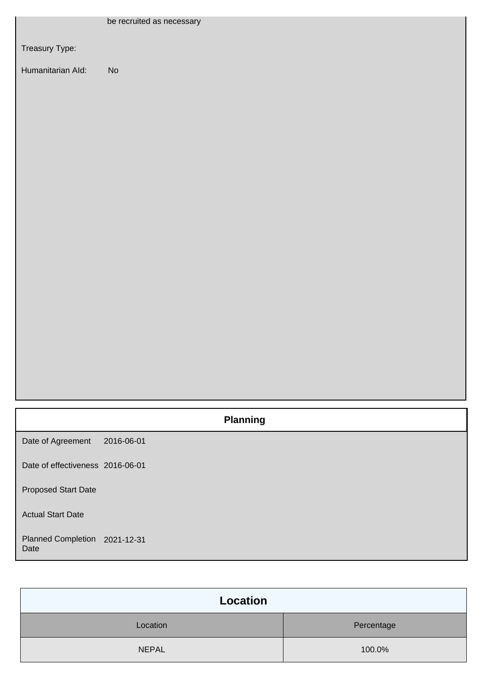|                                       | be recruited as necessary    |
|---------------------------------------|------------------------------|
| Treasury Type:                        |                              |
| Humanitarian Ald:                     | $\operatorname{\mathsf{No}}$ |
|                                       |                              |
|                                       |                              |
|                                       |                              |
|                                       |                              |
|                                       |                              |
|                                       |                              |
|                                       |                              |
|                                       |                              |
|                                       |                              |
|                                       |                              |
|                                       |                              |
|                                       |                              |
|                                       |                              |
|                                       |                              |
|                                       | <b>Planning</b>              |
| Date of Agreement                     | 2016-06-01                   |
| Date of effectiveness 2016-06-01      |                              |
|                                       |                              |
| <b>Proposed Start Date</b>            |                              |
| <b>Actual Start Date</b>              |                              |
| Planned Completion 2021-12-31<br>Date |                              |

| Location     |            |
|--------------|------------|
| Location     | Percentage |
| <b>NEPAL</b> | 100.0%     |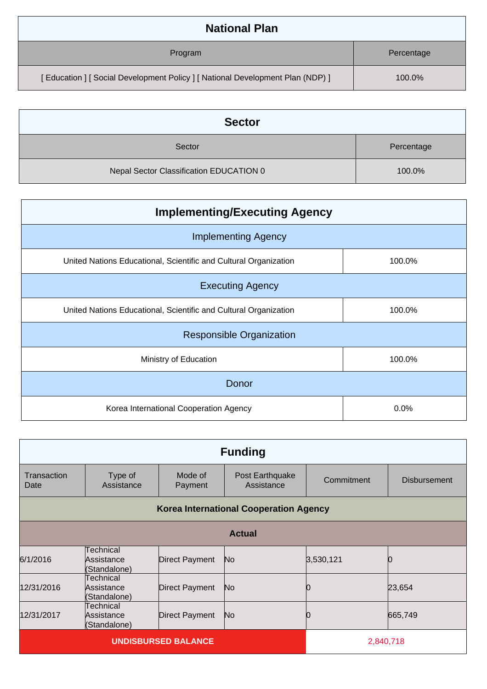| <b>National Plan</b>                                                            |            |
|---------------------------------------------------------------------------------|------------|
| Program                                                                         | Percentage |
| [ Education ] [ Social Development Policy ] [ National Development Plan (NDP) ] | 100.0%     |

| <b>Sector</b>                           |            |
|-----------------------------------------|------------|
| Sector                                  | Percentage |
| Nepal Sector Classification EDUCATION 0 | 100.0%     |

| <b>Implementing/Executing Agency</b>                             |        |
|------------------------------------------------------------------|--------|
| <b>Implementing Agency</b>                                       |        |
| United Nations Educational, Scientific and Cultural Organization | 100.0% |
| <b>Executing Agency</b>                                          |        |
| United Nations Educational, Scientific and Cultural Organization | 100.0% |
| <b>Responsible Organization</b>                                  |        |
| Ministry of Education                                            | 100.0% |
| Donor                                                            |        |
| Korea International Cooperation Agency                           | 0.0%   |

| <b>Funding</b>             |                                               |                       |                               |            |                     |
|----------------------------|-----------------------------------------------|-----------------------|-------------------------------|------------|---------------------|
| Transaction<br>Date        | Type of<br>Assistance                         | Mode of<br>Payment    | Post Earthquake<br>Assistance | Commitment | <b>Disbursement</b> |
|                            | <b>Korea International Cooperation Agency</b> |                       |                               |            |                     |
|                            | <b>Actual</b>                                 |                       |                               |            |                     |
| 6/1/2016                   | Technical<br>Assistance<br>(Standalone)       | <b>Direct Payment</b> | No                            | 3,530,121  |                     |
| 12/31/2016                 | Technical<br>Assistance<br>(Standalone)       | Direct Payment        | No                            |            | 23,654              |
| 12/31/2017                 | Technical<br>Assistance<br>(Standalone)       | Direct Payment        | No                            |            | 665,749             |
| <b>UNDISBURSED BALANCE</b> |                                               |                       | 2,840,718                     |            |                     |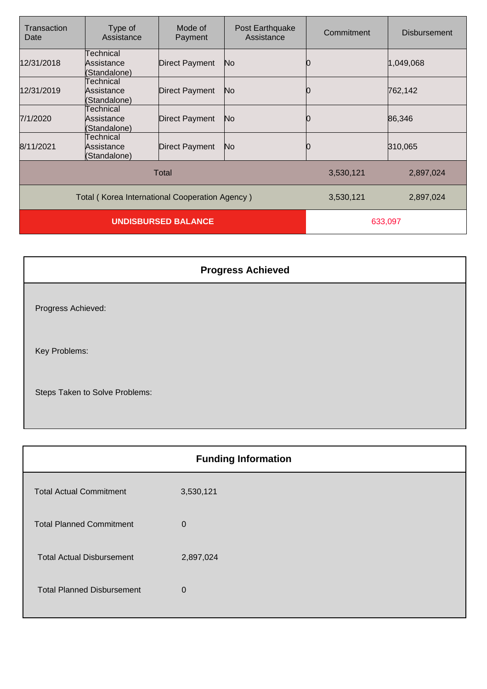| Transaction<br>Date                            | Type of<br>Assistance                   | Mode of<br>Payment | Post Earthquake<br>Assistance | Commitment | <b>Disbursement</b> |
|------------------------------------------------|-----------------------------------------|--------------------|-------------------------------|------------|---------------------|
| 12/31/2018                                     | Technical<br>Assistance<br>(Standalone) | Direct Payment     | No.                           |            | 1,049,068           |
| 12/31/2019                                     | Technical<br>Assistance<br>(Standalone) | Direct Payment     | No.                           |            | 762,142             |
| 7/1/2020                                       | Technical<br>Assistance<br>(Standalone) | Direct Payment     | N <sub>o</sub>                |            | 86,346              |
| 8/11/2021                                      | Technical<br>Assistance<br>(Standalone) | Direct Payment     | No.                           |            | 310,065             |
| Total                                          |                                         |                    | 3,530,121                     | 2,897,024  |                     |
| Total (Korea International Cooperation Agency) |                                         |                    | 3,530,121                     | 2,897,024  |                     |
| <b>UNDISBURSED BALANCE</b>                     |                                         |                    | 633,097                       |            |                     |

| <b>Progress Achieved</b>       |
|--------------------------------|
| Progress Achieved:             |
| Key Problems:                  |
| Steps Taken to Solve Problems: |

| <b>Funding Information</b>        |                |  |
|-----------------------------------|----------------|--|
| <b>Total Actual Commitment</b>    | 3,530,121      |  |
| <b>Total Planned Commitment</b>   | $\mathbf 0$    |  |
| <b>Total Actual Disbursement</b>  | 2,897,024      |  |
| <b>Total Planned Disbursement</b> | $\overline{0}$ |  |
|                                   |                |  |